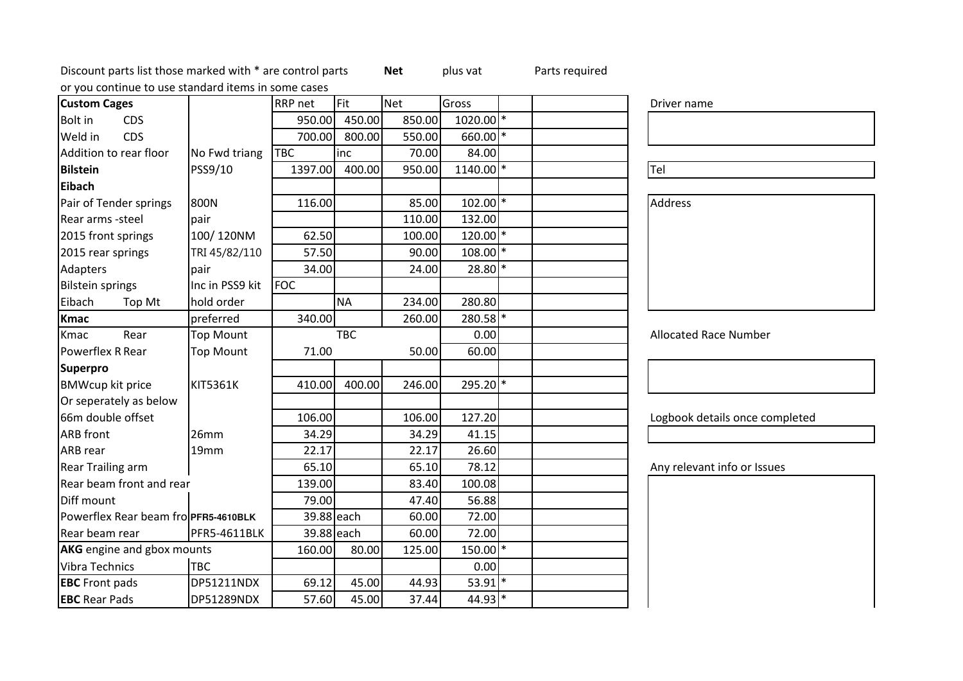Discount parts list those marked with \* are control partsor you continue to use standard items in some cases

DP51289NDX

EBC Rear Pads

| or you continue to use standard items in some cases |                  |                |            |            |                        |                                |
|-----------------------------------------------------|------------------|----------------|------------|------------|------------------------|--------------------------------|
| <b>Custom Cages</b>                                 |                  | <b>RRP</b> net | Fit        | <b>Net</b> | Gross                  | Driver name                    |
| <b>Bolt</b> in<br><b>CDS</b>                        |                  | 950.00         | 450.00     | 850.00     | $1020.00$ <sup>*</sup> |                                |
| Weld in<br><b>CDS</b>                               |                  | 700.00         | 800.00     | 550.00     | $660.00$ <sup>*</sup>  |                                |
| Addition to rear floor                              | No Fwd triang    | <b>TBC</b>     | inc        | 70.00      | 84.00                  |                                |
| <b>Bilstein</b>                                     | PSS9/10          | 1397.00        | 400.00     | 950.00     | $1140.00$ <sup>*</sup> | Tel                            |
| <b>Eibach</b>                                       |                  |                |            |            |                        |                                |
| Pair of Tender springs                              | 800N             | 116.00         |            | 85.00      | $102.00$ <sup>*</sup>  | Address                        |
| Rear arms -steel                                    | pair             |                |            | 110.00     | 132.00                 |                                |
| 2015 front springs                                  | 100/120NM        | 62.50          |            | 100.00     | $120.00$ <sup>*</sup>  |                                |
| 2015 rear springs                                   | TRI 45/82/110    | 57.50          |            | 90.00      | $108.00$ *             |                                |
| Adapters                                            | pair             | 34.00          |            | 24.00      | $28.80$ *              |                                |
| <b>Bilstein springs</b>                             | Inc in PSS9 kit  | <b>FOC</b>     |            |            |                        |                                |
| Eibach<br>Top Mt                                    | hold order       |                | <b>NA</b>  | 234.00     | 280.80                 |                                |
| <b>Kmac</b>                                         | preferred        | 340.00         |            | 260.00     | 280.58 *               |                                |
| Rear<br>Kmac                                        | <b>Top Mount</b> |                | <b>TBC</b> |            | 0.00                   | <b>Allocated Race Number</b>   |
| Powerflex R Rear                                    | <b>Top Mount</b> | 71.00          |            | 50.00      | 60.00                  |                                |
| <b>Superpro</b>                                     |                  |                |            |            |                        |                                |
| <b>BMWcup kit price</b>                             | <b>KIT5361K</b>  | 410.00         | 400.00     | 246.00     | 295.20 *               |                                |
| Or seperately as below                              |                  |                |            |            |                        |                                |
| 66m double offset                                   |                  | 106.00         |            | 106.00     | 127.20                 | Logbook details once completed |
| <b>ARB</b> front                                    | 26mm             | 34.29          |            | 34.29      | 41.15                  |                                |
| <b>ARB</b> rear                                     | 19mm             | 22.17          |            | 22.17      | 26.60                  |                                |
| <b>Rear Trailing arm</b>                            |                  | 65.10          |            | 65.10      | 78.12                  | Any relevant info or Issues    |
| Rear beam front and rear                            |                  | 139.00         |            | 83.40      | 100.08                 |                                |
| Diff mount                                          |                  | 79.00          |            | 47.40      | 56.88                  |                                |
| Powerflex Rear beam fro PFR5-4610BLK                |                  | 39.88 each     |            | 60.00      | 72.00                  |                                |
| Rear beam rear                                      | PFR5-4611BLK     | 39.88 each     |            | 60.00      | 72.00                  |                                |
| <b>AKG</b> engine and gbox mounts                   |                  | 160.00         | 80.00      | 125.00     | $150.00$ <sup>*</sup>  |                                |
| Vibra Technics                                      | <b>TBC</b>       |                |            |            | 0.00                   |                                |
| <b>EBC</b> Front pads                               | DP51211NDX       | 69.12          | 45.00      | 44.93      | $53.91$ <sup>*</sup>   |                                |

 $\begin{array}{|c|c|c|c|c|c|}\n\hline\n69.12 & 45.00 & 44.93 & 53.91\end{array}$ <br>57.60 45.00 37.44 44.93

 $\chi$  57.60 45.00 37.44 44.93

Net plus vat Parts required